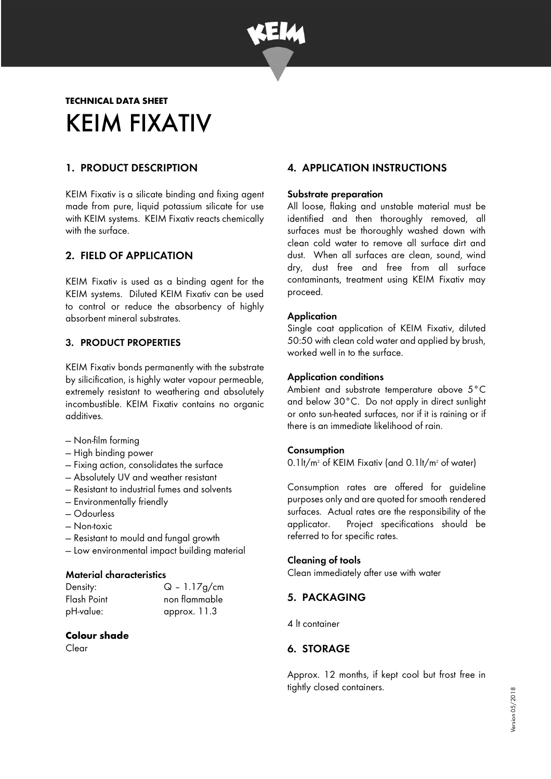

# **TECHNICAL DATA SHEET**  KEIM FIXATIV

# 1. PRODUCT DESCRIPTION

KEIM Fixativ is a silicate binding and fixing agent made from pure, liquid potassium silicate for use with KEIM systems. KEIM Fixativ reacts chemically with the surface.

# 2. FIELD OF APPLICATION

KEIM Fixativ is used as a binding agent for the KEIM systems. Diluted KEIM Fixativ can be used to control or reduce the absorbency of highly absorbent mineral substrates.

## 3. PRODUCT PROPERTIES

KEIM Fixativ bonds permanently with the substrate by silicification, is highly water vapour permeable, extremely resistant to weathering and absolutely incombustible. KEIM Fixativ contains no organic additives.

- Non-film forming
- High binding power
- Fixing action, consolidates the surface
- Absolutely UV and weather resistant
- Resistant to industrial fumes and solvents
- Environmentally friendly
- Odourless
- Non-toxic
- Resistant to mould and fungal growth
- Low environmental impact building material

#### Material characteristics

| Density:    |
|-------------|
| Flash Point |
| pH-value:   |

# $Q - 1.17g/cm$ non flammable approx. 11.3

## **Colour shade**

Clear

# 4. APPLICATION INSTRUCTIONS

#### Substrate preparation

All loose, flaking and unstable material must be identified and then thoroughly removed, all surfaces must be thoroughly washed down with clean cold water to remove all surface dirt and dust. When all surfaces are clean, sound, wind dry, dust free and free from all surface contaminants, treatment using KEIM Fixativ may proceed.

#### **Application**

Single coat application of KEIM Fixativ, diluted 50:50 with clean cold water and applied by brush, worked well in to the surface.

#### Application conditions

Ambient and substrate temperature above 5°C and below 30°C. Do not apply in direct sunlight or onto sun-heated surfaces, nor if it is raining or if there is an immediate likelihood of rain.

#### **Consumption**

0.1lt/m<sup>2</sup> of KEIM Fixativ (and 0.1lt/m<sup>2</sup> of water)

Consumption rates are offered for guideline purposes only and are quoted for smooth rendered surfaces. Actual rates are the responsibility of the applicator. Project specifications should be referred to for specific rates.

#### Cleaning of tools

Clean immediately after use with water

# 5. PACKAGING

4 lt container

# 6. STORAGE

Approx. 12 months, if kept cool but frost free in tightly closed containers.